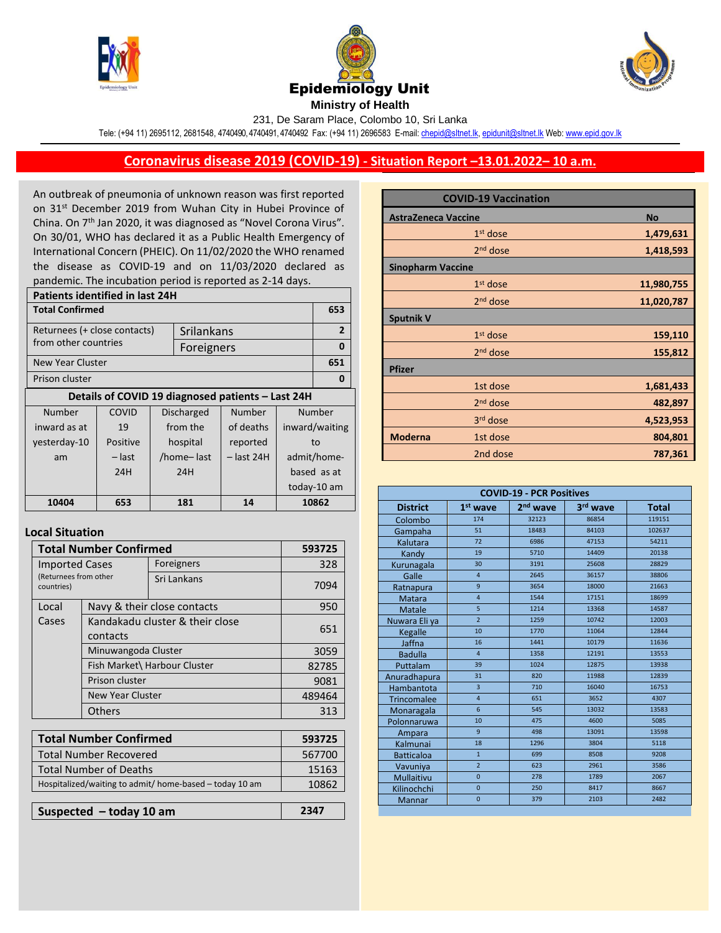





231, De Saram Place, Colombo 10, Sri Lanka

Tele: (+94 11) 2695112, 2681548, 4740490, 4740491, 4740492 Fax: (+94 11) 2696583 E-mail[: chepid@sltnet.lk,](mailto:chepi@sltnet.lk) [epidunit@sltnet.lk](mailto:epidunit@sltnet.lk) Web[: www.epid.gov.lk](http://www.epid.gov.lk/)

## **Coronavirus disease 2019 (COVID-19) - Situation Report –13.01.2022– 10 a.m.**

An outbreak of pneumonia of unknown reason was first reported on 31<sup>st</sup> December 2019 from Wuhan City in Hubei Province of China. On 7<sup>th</sup> Jan 2020, it was diagnosed as "Novel Corona Virus". On 30/01, WHO has declared it as a Public Health Emergency of International Concern (PHEIC). On 11/02/2020 the WHO renamed the disease as COVID-19 and on 11/03/2020 declared as pandemic. The incubation period is reported as 2-14 days.

| <b>Patients identified in last 24H</b>     |                                                   |  |                   |                |                |             |
|--------------------------------------------|---------------------------------------------------|--|-------------------|----------------|----------------|-------------|
| <b>Total Confirmed</b>                     |                                                   |  |                   |                | 653            |             |
| Returnees (+ close contacts)<br>Srilankans |                                                   |  |                   | $\overline{2}$ |                |             |
| from other countries                       |                                                   |  | Foreigners        |                |                | $\bf{0}$    |
| New Year Cluster                           |                                                   |  |                   | 651            |                |             |
| Prison cluster                             |                                                   |  |                   | 0              |                |             |
|                                            | Details of COVID 19 diagnosed patients – Last 24H |  |                   |                |                |             |
| Number                                     | COVID                                             |  | <b>Discharged</b> | Number         | Number         |             |
| inward as at                               | 19                                                |  | from the          | of deaths      | inward/waiting |             |
| yesterday-10                               | Positive                                          |  | hospital          | reported       | to             |             |
| am                                         | – last                                            |  | /home-last        | – last 24H     | admit/home-    |             |
|                                            | 24H                                               |  | 24H               |                |                | based as at |
|                                            |                                                   |  |                   |                |                | today-10 am |
| 10404                                      | 653                                               |  | 181               | 14             |                | 10862       |

## **Local Situation**

|                                                         | <b>Total Number Confirmed</b><br>593725     |                              |        |
|---------------------------------------------------------|---------------------------------------------|------------------------------|--------|
| <b>Imported Cases</b>                                   |                                             | Foreigners                   | 328    |
| (Returnees from other<br>countries)                     |                                             | Sri Lankans                  | 7094   |
| Local                                                   |                                             | Navy & their close contacts  | 950    |
| Cases                                                   | Kandakadu cluster & their close<br>contacts |                              | 651    |
|                                                         | Minuwangoda Cluster                         |                              | 3059   |
|                                                         |                                             | Fish Market\ Harbour Cluster | 82785  |
|                                                         | Prison cluster                              |                              | 9081   |
|                                                         | New Year Cluster                            |                              | 489464 |
|                                                         | <b>Others</b>                               |                              | 313    |
|                                                         |                                             |                              |        |
|                                                         | <b>Total Number Confirmed</b>               |                              | 593725 |
| <b>Total Number Recovered</b>                           |                                             |                              | 567700 |
|                                                         | Total Number of Deaths<br>15163             |                              |        |
| Hospitalized/waiting to admit/ home-based - today 10 am |                                             |                              | 10862  |

| Suspected - today 10 am | 2347 |
|-------------------------|------|
|                         |      |

|                            | <b>COVID-19 Vaccination</b> |            |
|----------------------------|-----------------------------|------------|
| <b>AstraZeneca Vaccine</b> |                             | <b>No</b>  |
|                            | $1st$ dose                  | 1,479,631  |
|                            | $2nd$ dose                  | 1,418,593  |
| <b>Sinopharm Vaccine</b>   |                             |            |
|                            | $1st$ dose                  | 11,980,755 |
|                            | $2nd$ dose                  | 11,020,787 |
| <b>Sputnik V</b>           |                             |            |
|                            | $1st$ dose                  | 159,110    |
|                            | 2 <sup>nd</sup> dose        | 155,812    |
| <b>Pfizer</b>              |                             |            |
|                            | 1st dose                    | 1,681,433  |
|                            | 2 <sup>nd</sup> dose        | 482,897    |
|                            | 3 <sup>rd</sup> dose        | 4,523,953  |
| <b>Moderna</b>             | 1st dose                    | 804,801    |
|                            | 2nd dose                    | 787,361    |

| <b>COVID-19 - PCR Positives</b> |                |                      |          |              |
|---------------------------------|----------------|----------------------|----------|--------------|
| <b>District</b>                 | $1st$ wave     | 2 <sup>nd</sup> wave | 3rd wave | <b>Total</b> |
| Colombo                         | 174            | 32123                | 86854    | 119151       |
| Gampaha                         | 51             | 18483                | 84103    | 102637       |
| Kalutara                        | 72             | 6986                 | 47153    | 54211        |
| Kandy                           | 19             | 5710                 | 14409    | 20138        |
| Kurunagala                      | 30             | 3191                 | 25608    | 28829        |
| Galle                           | $\overline{4}$ | 2645                 | 36157    | 38806        |
| Ratnapura                       | 9              | 3654                 | 18000    | 21663        |
| Matara                          | $\overline{4}$ | 1544                 | 17151    | 18699        |
| Matale                          | 5              | 1214                 | 13368    | 14587        |
| Nuwara Eli ya                   | $\overline{2}$ | 1259                 | 10742    | 12003        |
| Kegalle                         | 10             | 1770                 | 11064    | 12844        |
| Jaffna                          | 16             | 1441                 | 10179    | 11636        |
| <b>Badulla</b>                  | $\overline{4}$ | 1358                 | 12191    | 13553        |
| Puttalam                        | 39             | 1024                 | 12875    | 13938        |
| Anuradhapura                    | 31             | 820                  | 11988    | 12839        |
| Hambantota                      | $\overline{3}$ | 710                  | 16040    | 16753        |
| <b>Trincomalee</b>              | $\overline{4}$ | 651                  | 3652     | 4307         |
| Monaragala                      | 6              | 545                  | 13032    | 13583        |
| Polonnaruwa                     | 10             | 475                  | 4600     | 5085         |
| Ampara                          | $\overline{9}$ | 498                  | 13091    | 13598        |
| Kalmunai                        | 18             | 1296                 | 3804     | 5118         |
| <b>Batticaloa</b>               | $\mathbf{1}$   | 699                  | 8508     | 9208         |
| Vavuniya                        | $\overline{2}$ | 623                  | 2961     | 3586         |
| Mullaitivu                      | $\overline{0}$ | 278                  | 1789     | 2067         |
| Kilinochchi                     | $\mathbf{0}$   | 250                  | 8417     | 8667         |
| Mannar                          | $\overline{0}$ | 379                  | 2103     | 2482         |